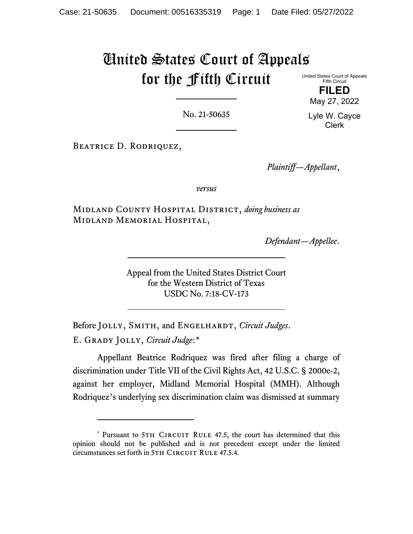# United States Court of Appeals for the Fifth Circuit

United States Court of Appeals Fifth Circuit

> **FILED** May 27, 2022

No. 21-50635

Lyle W. Cayce Clerk

Beatrice D. Rodriquez,

*Plaintiff—Appellant*,

*versus*

Midland County Hospital District, *doing business as* Midland Memorial Hospital,

*Defendant—Appellee*.

Appeal from the United States District Court for the Western District of Texas USDC No. 7:18-CV-173

Before JOLLY, SMITH, and ENGELHARDT, *Circuit Judges*. E. Grady Jolly, *Circuit Judge*:[\\*](#page-0-0)

Appellant Beatrice Rodriquez was fired after filing a charge of discrimination under Title VII of the Civil Rights Act, 42 U.S.C. § 2000e-2, against her employer, Midland Memorial Hospital (MMH). Although Rodriquez's underlying sex discrimination claim was dismissed at summary

<span id="page-0-0"></span><sup>\*</sup> Pursuant to 5TH CIRCUIT RULE 47.5, the court has determined that this opinion should not be published and is not precedent except under the limited circumstances set forth in 5TH CIRCUIT RULE 47.5.4.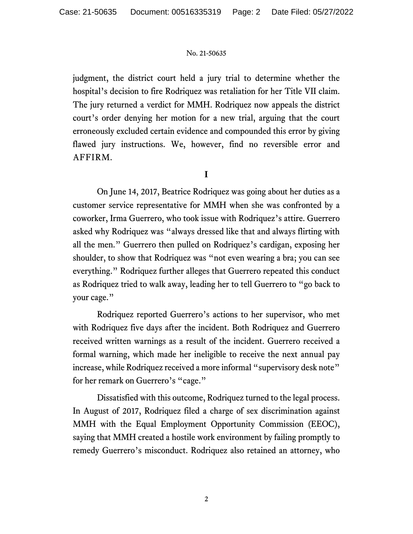judgment, the district court held a jury trial to determine whether the hospital's decision to fire Rodriquez was retaliation for her Title VII claim. The jury returned a verdict for MMH. Rodriquez now appeals the district court's order denying her motion for a new trial, arguing that the court erroneously excluded certain evidence and compounded this error by giving flawed jury instructions. We, however, find no reversible error and AFFIRM.

**I**

On June 14, 2017, Beatrice Rodriquez was going about her duties as a customer service representative for MMH when she was confronted by a coworker, Irma Guerrero, who took issue with Rodriquez's attire. Guerrero asked why Rodriquez was "always dressed like that and always flirting with all the men." Guerrero then pulled on Rodriquez's cardigan, exposing her shoulder, to show that Rodriquez was "not even wearing a bra; you can see everything." Rodriquez further alleges that Guerrero repeated this conduct as Rodriquez tried to walk away, leading her to tell Guerrero to "go back to your cage."

Rodriquez reported Guerrero's actions to her supervisor, who met with Rodriquez five days after the incident. Both Rodriquez and Guerrero received written warnings as a result of the incident. Guerrero received a formal warning, which made her ineligible to receive the next annual pay increase, while Rodriquez received a more informal "supervisory desk note" for her remark on Guerrero's "cage."

Dissatisfied with this outcome, Rodriquez turned to the legal process. In August of 2017, Rodriquez filed a charge of sex discrimination against MMH with the Equal Employment Opportunity Commission (EEOC), saying that MMH created a hostile work environment by failing promptly to remedy Guerrero's misconduct. Rodriquez also retained an attorney, who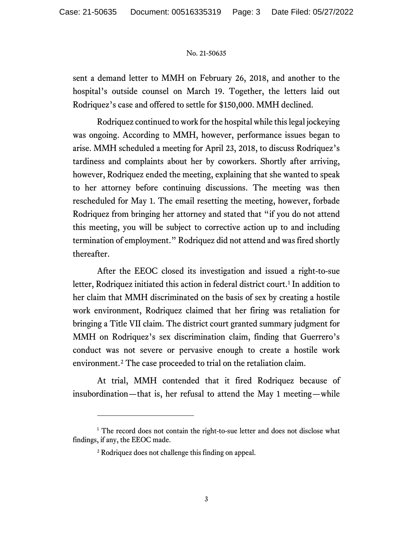sent a demand letter to MMH on February 26, 2018, and another to the hospital's outside counsel on March 19. Together, the letters laid out Rodriquez's case and offered to settle for \$150,000. MMH declined.

Rodriquez continued to work for the hospital while this legal jockeying was ongoing. According to MMH, however, performance issues began to arise. MMH scheduled a meeting for April 23, 2018, to discuss Rodriquez's tardiness and complaints about her by coworkers. Shortly after arriving, however, Rodriquez ended the meeting, explaining that she wanted to speak to her attorney before continuing discussions. The meeting was then rescheduled for May 1. The email resetting the meeting, however, forbade Rodriquez from bringing her attorney and stated that "if you do not attend this meeting, you will be subject to corrective action up to and including termination of employment." Rodriquez did not attend and was fired shortly thereafter.

After the EEOC closed its investigation and issued a right-to-sue letter, Rodriquez initiated this action in federal district court.<sup>[1](#page-2-0)</sup> In addition to her claim that MMH discriminated on the basis of sex by creating a hostile work environment, Rodriquez claimed that her firing was retaliation for bringing a Title VII claim. The district court granted summary judgment for MMH on Rodriquez's sex discrimination claim, finding that Guerrero's conduct was not severe or pervasive enough to create a hostile work environment.<sup>[2](#page-2-1)</sup> The case proceeded to trial on the retaliation claim.

At trial, MMH contended that it fired Rodriquez because of insubordination—that is, her refusal to attend the May 1 meeting—while

<span id="page-2-1"></span><span id="page-2-0"></span><sup>&</sup>lt;sup>1</sup> The record does not contain the right-to-sue letter and does not disclose what findings, if any, the EEOC made.

<sup>2</sup> Rodriquez does not challenge this finding on appeal.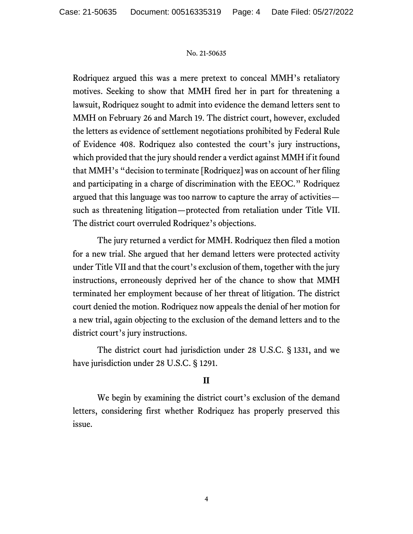Rodriquez argued this was a mere pretext to conceal MMH's retaliatory motives. Seeking to show that MMH fired her in part for threatening a lawsuit, Rodriquez sought to admit into evidence the demand letters sent to MMH on February 26 and March 19. The district court, however, excluded the letters as evidence of settlement negotiations prohibited by Federal Rule of Evidence 408. Rodriquez also contested the court's jury instructions, which provided that the jury should render a verdict against MMH if it found that MMH's "decision to terminate [Rodriquez] was on account of her filing and participating in a charge of discrimination with the EEOC." Rodriquez argued that this language was too narrow to capture the array of activities such as threatening litigation—protected from retaliation under Title VII. The district court overruled Rodriquez's objections.

The jury returned a verdict for MMH. Rodriquez then filed a motion for a new trial. She argued that her demand letters were protected activity under Title VII and that the court's exclusion of them, together with the jury instructions, erroneously deprived her of the chance to show that MMH terminated her employment because of her threat of litigation. The district court denied the motion. Rodriquez now appeals the denial of her motion for a new trial, again objecting to the exclusion of the demand letters and to the district court's jury instructions.

The district court had jurisdiction under 28 U.S.C. § 1331, and we have jurisdiction under 28 U.S.C. § 1291.

## **II**

We begin by examining the district court's exclusion of the demand letters, considering first whether Rodriquez has properly preserved this issue.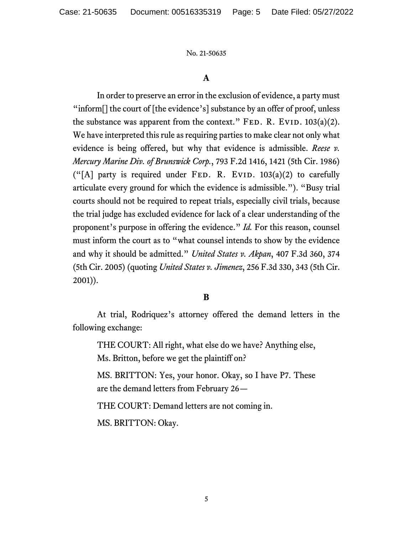# **A**

In order to preserve an error in the exclusion of evidence, a party must "inform<sup>[]</sup> the court of [the evidence's] substance by an offer of proof, unless the substance was apparent from the context." FED. R. EVID.  $103(a)(2)$ . We have interpreted this rule as requiring parties to make clear not only what evidence is being offered, but why that evidence is admissible. *Reese v. Mercury Marine Div. of Brunswick Corp.*, 793 F.2d 1416, 1421 (5th Cir. 1986) ("[A] party is required under FED. R. EVID.  $103(a)(2)$  to carefully articulate every ground for which the evidence is admissible."). "Busy trial courts should not be required to repeat trials, especially civil trials, because the trial judge has excluded evidence for lack of a clear understanding of the proponent's purpose in offering the evidence." *Id.* For this reason, counsel must inform the court as to "what counsel intends to show by the evidence and why it should be admitted." *United States v. Akpan*, 407 F.3d 360, 374 (5th Cir. 2005) (quoting *United States v. Jimenez*, 256 F.3d 330, 343 (5th Cir. 2001)).

## **B**

At trial, Rodriquez's attorney offered the demand letters in the following exchange:

THE COURT: All right, what else do we have? Anything else, Ms. Britton, before we get the plaintiff on?

MS. BRITTON: Yes, your honor. Okay, so I have P7. These are the demand letters from February 26—

THE COURT: Demand letters are not coming in.

MS. BRITTON: Okay.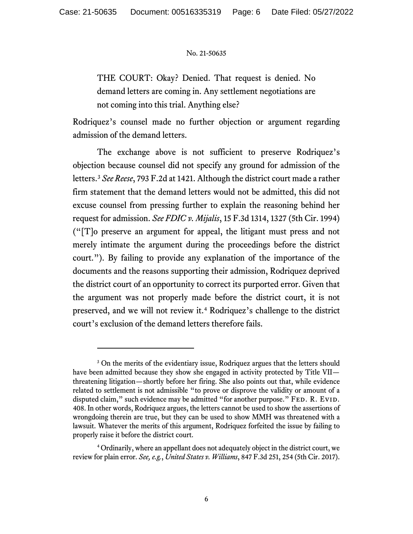THE COURT: Okay? Denied. That request is denied. No demand letters are coming in. Any settlement negotiations are not coming into this trial. Anything else?

Rodriquez's counsel made no further objection or argument regarding admission of the demand letters.

The exchange above is not sufficient to preserve Rodriquez's objection because counsel did not specify any ground for admission of the letters.[3](#page-5-0) *See Reese*, 793 F.2d at 1421. Although the district court made a rather firm statement that the demand letters would not be admitted, this did not excuse counsel from pressing further to explain the reasoning behind her request for admission. *See FDIC v. Mijalis*, 15 F.3d 1314, 1327 (5th Cir. 1994) ("[T]o preserve an argument for appeal, the litigant must press and not merely intimate the argument during the proceedings before the district court."). By failing to provide any explanation of the importance of the documents and the reasons supporting their admission, Rodriquez deprived the district court of an opportunity to correct its purported error. Given that the argument was not properly made before the district court, it is not preserved, and we will not review it. [4](#page-5-1) Rodriquez's challenge to the district court's exclusion of the demand letters therefore fails.

<span id="page-5-0"></span><sup>&</sup>lt;sup>3</sup> On the merits of the evidentiary issue, Rodriquez argues that the letters should have been admitted because they show she engaged in activity protected by Title VII threatening litigation—shortly before her firing. She also points out that, while evidence related to settlement is not admissible "to prove or disprove the validity or amount of a disputed claim," such evidence may be admitted "for another purpose." FED. R. EVID. 408. In other words, Rodriquez argues, the letters cannot be used to show the assertions of wrongdoing therein are true, but they can be used to show MMH was threatened with a lawsuit. Whatever the merits of this argument, Rodriquez forfeited the issue by failing to properly raise it before the district court.

<span id="page-5-1"></span><sup>4</sup> Ordinarily, where an appellant does not adequately object in the district court, we review for plain error. *See, e.g.*, *United States v. Williams*, 847 F.3d 251, 254 (5th Cir. 2017).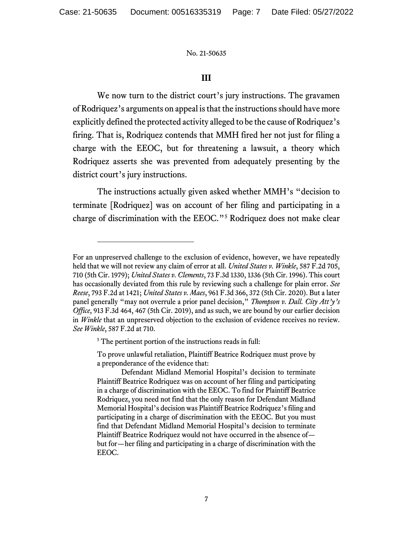## **III**

We now turn to the district court's jury instructions. The gravamen of Rodriquez's arguments on appeal is that the instructions should have more explicitly defined the protected activity alleged to be the cause of Rodriquez's firing. That is, Rodriquez contends that MMH fired her not just for filing a charge with the EEOC, but for threatening a lawsuit, a theory which Rodriquez asserts she was prevented from adequately presenting by the district court's jury instructions.

The instructions actually given asked whether MMH's "decision to terminate [Rodriquez] was on account of her filing and participating in a charge of discrimination with the EEOC."[5](#page-6-0) Rodriquez does not make clear

For an unpreserved challenge to the exclusion of evidence, however, we have repeatedly held that we will not review any claim of error at all. *United States v. Winkle*, 587 F.2d 705, 710 (5th Cir. 1979); *United States v. Clements*, 73 F.3d 1330, 1336 (5th Cir. 1996). This court has occasionally deviated from this rule by reviewing such a challenge for plain error. *See Reese*, 793 F.2d at 1421; *United States v. Maes*, 961 F.3d 366, 372 (5th Cir. 2020). But a later panel generally "may not overrule a prior panel decision," *Thompson v. Dall. City Att'y's Office*, 913 F.3d 464, 467 (5th Cir. 2019), and as such, we are bound by our earlier decision in *Winkle* that an unpreserved objection to the exclusion of evidence receives no review. *See Winkle*, 587 F.2d at 710.

<span id="page-6-0"></span><sup>&</sup>lt;sup>5</sup> The pertinent portion of the instructions reads in full:

To prove unlawful retaliation, Plaintiff Beatrice Rodriquez must prove by a preponderance of the evidence that:

Defendant Midland Memorial Hospital's decision to terminate Plaintiff Beatrice Rodriquez was on account of her filing and participating in a charge of discrimination with the EEOC. To find for Plaintiff Beatrice Rodriquez, you need not find that the only reason for Defendant Midland Memorial Hospital's decision was Plaintiff Beatrice Rodriquez's filing and participating in a charge of discrimination with the EEOC. But you must find that Defendant Midland Memorial Hospital's decision to terminate Plaintiff Beatrice Rodriquez would not have occurred in the absence of but for—her filing and participating in a charge of discrimination with the EEOC.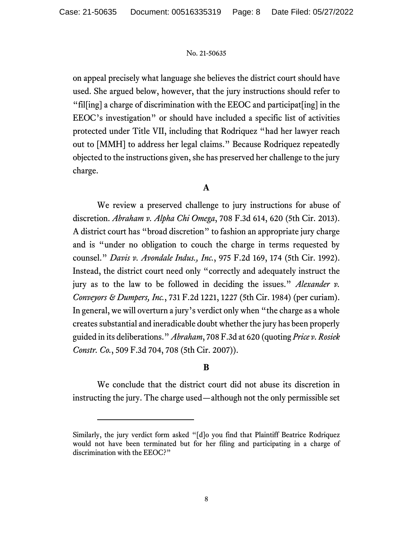on appeal precisely what language she believes the district court should have used. She argued below, however, that the jury instructions should refer to "fil[ing] a charge of discrimination with the EEOC and participat[ing] in the EEOC's investigation" or should have included a specific list of activities protected under Title VII, including that Rodriquez "had her lawyer reach out to [MMH] to address her legal claims." Because Rodriquez repeatedly objected to the instructions given, she has preserved her challenge to the jury charge.

## **A**

We review a preserved challenge to jury instructions for abuse of discretion. *Abraham v. Alpha Chi Omega*, 708 F.3d 614, 620 (5th Cir. 2013). A district court has "broad discretion" to fashion an appropriate jury charge and is "under no obligation to couch the charge in terms requested by counsel." *Davis v. Avondale Indus., Inc.*, 975 F.2d 169, 174 (5th Cir. 1992). Instead, the district court need only "correctly and adequately instruct the jury as to the law to be followed in deciding the issues." *Alexander v. Conveyors & Dumpers, Inc.*, 731 F.2d 1221, 1227 (5th Cir. 1984) (per curiam). In general, we will overturn a jury's verdict only when "the charge as a whole creates substantial and ineradicable doubt whether the jury has been properly guided in its deliberations." *Abraham*, 708 F.3d at 620 (quoting *Price v. Rosiek Constr. Co.*, 509 F.3d 704, 708 (5th Cir. 2007)).

## **B**

We conclude that the district court did not abuse its discretion in instructing the jury. The charge used—although not the only permissible set

Similarly, the jury verdict form asked "[d]o you find that Plaintiff Beatrice Rodriquez would not have been terminated but for her filing and participating in a charge of discrimination with the EEOC?"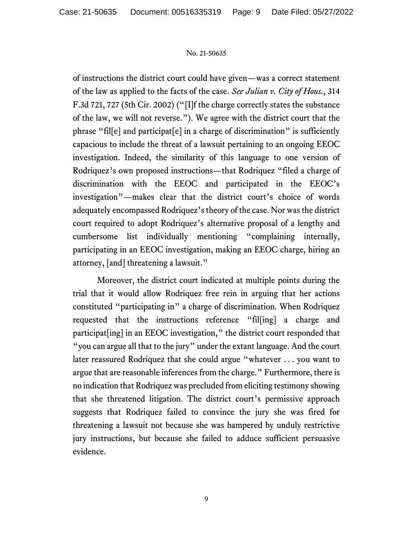of instructions the district court could have given—was a correct statement of the law as applied to the facts of the case. *See Julian v. City of Hous.*, 314 F.3d 721, 727 (5th Cir. 2002) ("[I]f the charge correctly states the substance of the law, we will not reverse."). We agree with the district court that the phrase "fil[e] and participat[e] in a charge of discrimination" is sufficiently capacious to include the threat of a lawsuit pertaining to an ongoing EEOC investigation. Indeed, the similarity of this language to one version of Rodriquez's own proposed instructions—that Rodriquez "filed a charge of discrimination with the EEOC and participated in the EEOC's investigation"—makes clear that the district court's choice of words adequately encompassed Rodriquez's theory of the case. Nor was the district court required to adopt Rodriquez's alternative proposal of a lengthy and cumbersome list individually mentioning "complaining internally, participating in an EEOC investigation, making an EEOC charge, hiring an attorney, [and] threatening a lawsuit."

Moreover, the district court indicated at multiple points during the trial that it would allow Rodriquez free rein in arguing that her actions constituted "participating in" a charge of discrimination. When Rodriquez requested that the instructions reference "fil[ing] a charge and participat[ing] in an EEOC investigation," the district court responded that "you can argue all that to the jury" under the extant language. And the court later reassured Rodriquez that she could argue "whatever . . . you want to argue that are reasonable inferences from the charge." Furthermore, there is no indication that Rodriquez was precluded from eliciting testimony showing that she threatened litigation. The district court's permissive approach suggests that Rodriquez failed to convince the jury she was fired for threatening a lawsuit not because she was hampered by unduly restrictive jury instructions, but because she failed to adduce sufficient persuasive evidence.